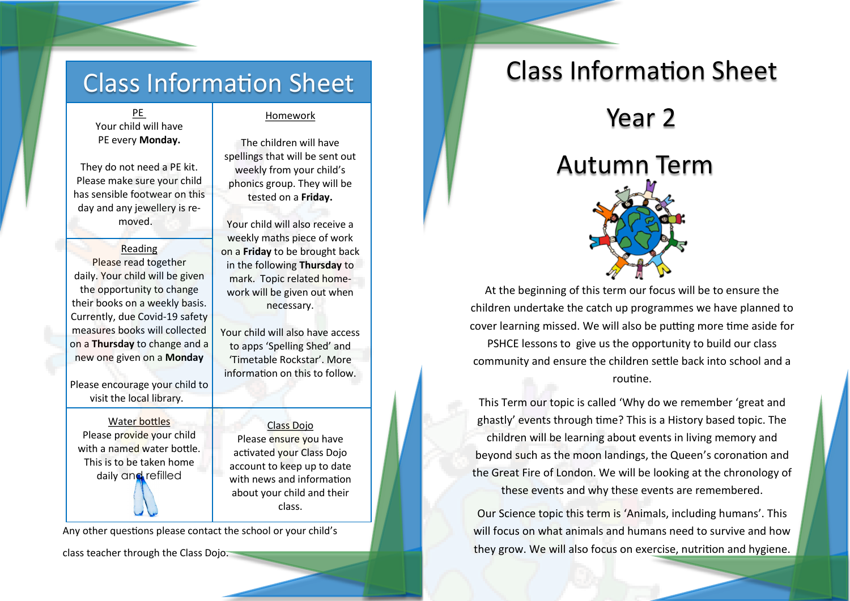### Class Information Sheet

PE Your child will have PE every **Monday.**

They do not need a PE kit. Please make sure your child has sensible footwear on this day and any jewellery is removed.

Reading Please read together daily. Your child will be given the opportunity to change their books on a weekly basis. Currently, due Covid-19 safety measures books will collected on a **Thursday** to change and a new one given on a **Monday**

Please encourage your child to visit the local library.

Water bottles Please provide your child with a named water bottle. This is to be taken home daily and refilled

### Homework

The children will have spellings that will be sent out weekly from your child's phonics group. They will be tested on a **Friday.** 

Your child will also receive a weekly maths piece of work on a **Friday** to be brought back in the following **Thursday** to mark. Topic related homework will be given out when necessary.

Your child will also have access to apps 'Spelling Shed' and 'Timetable Rockstar'. More information on this to follow.

Class Dojo Please ensure you have activated your Class Dojo account to keep up to date with news and information about your child and their class.

Any other questions please contact the school or your child's

class teacher through the Class Dojo.

### Class Information Sheet

Year 2

# Autumn Term

At the beginning of this term our focus will be to ensure the children undertake the catch up programmes we have planned to cover learning missed. We will also be putting more time aside for

PSHCE lessons to give us the opportunity to build our class community and ensure the children settle back into school and a routine.

This Term our topic is called 'Why do we remember 'great and ghastly' events through time? This is a History based topic. The children will be learning about events in living memory and beyond such as the moon landings, the Queen's coronation and the Great Fire of London. We will be looking at the chronology of these events and why these events are remembered.

Our Science topic this term is 'Animals, including humans'. This will focus on what animals and humans need to survive and how they grow. We will also focus on exercise, nutrition and hygiene.